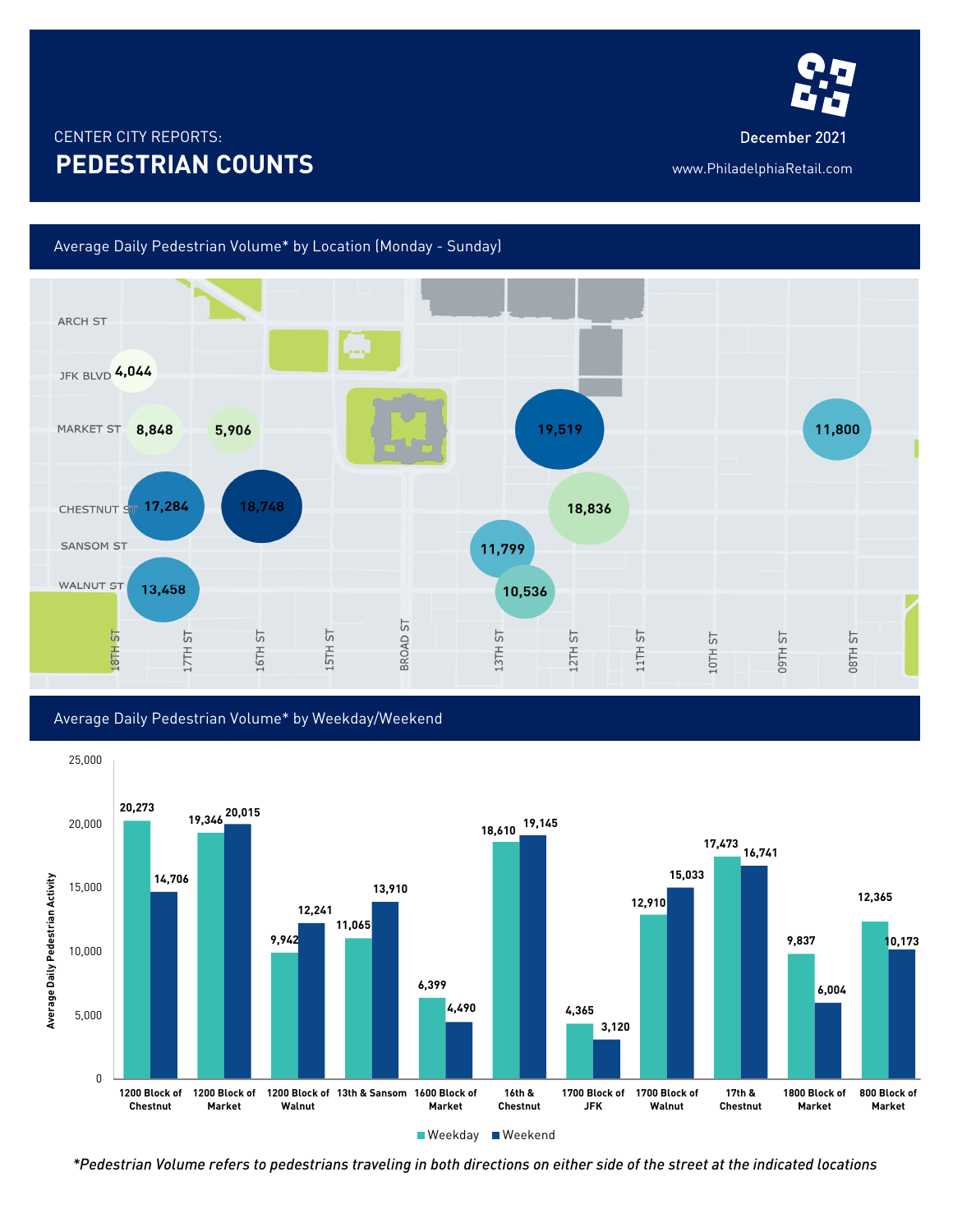

## CENTER CITY REPORTS: December 2021 **PEDESTRIAN COUNTS** www.PhiladelphiaRetail.com

## Average Daily Pedestrian Volume\* by Location (Monday - Sunday)







*\*Pedestrian Volume refers to pedestrians traveling in both directions on either side of the street at the indicated locations*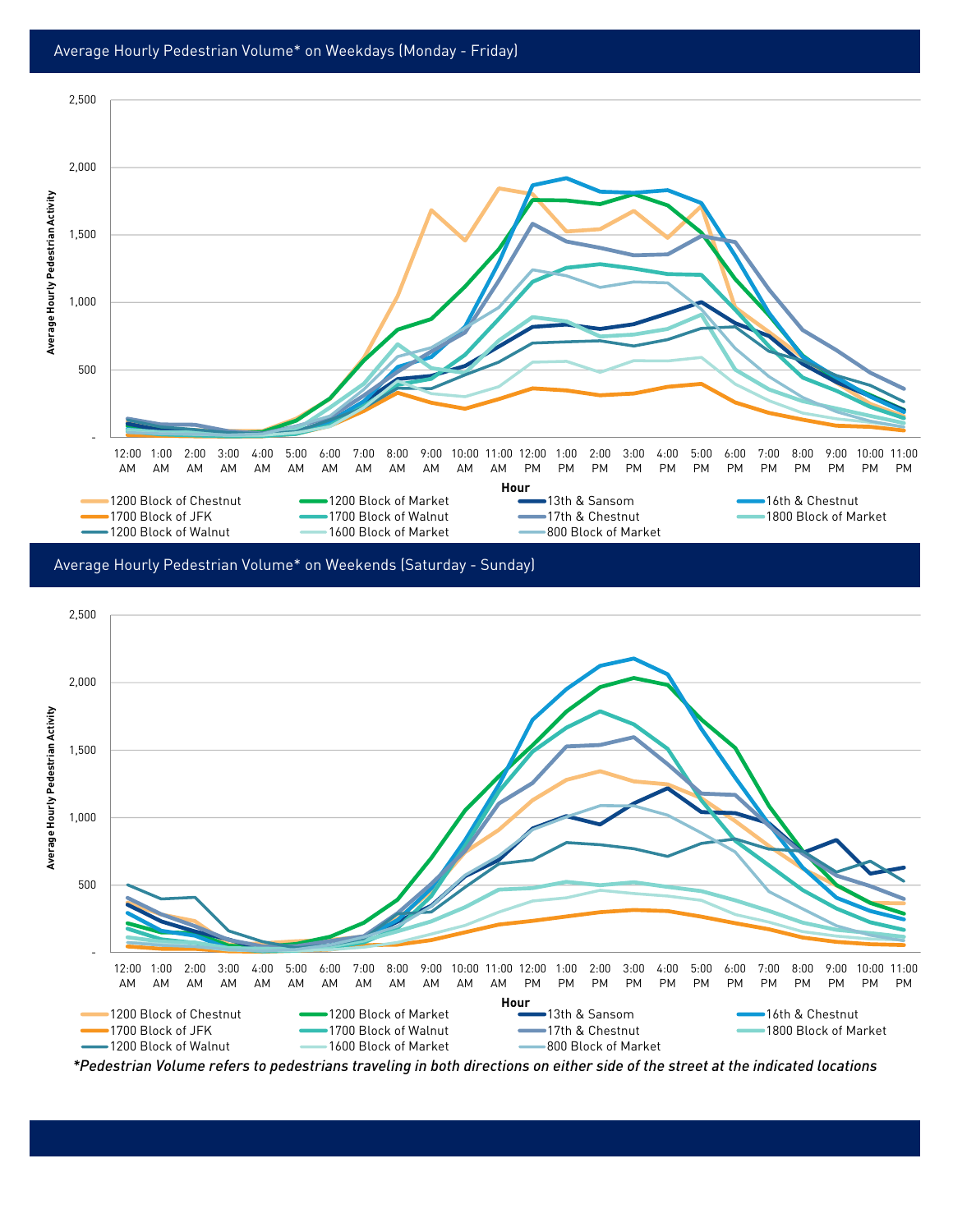

Average Hourly Pedestrian Volume\* on Weekends (Saturday - Sunday)



*\*Pedestrian Volume refers to pedestrians traveling in both directions on either side of the street at the indicated locations*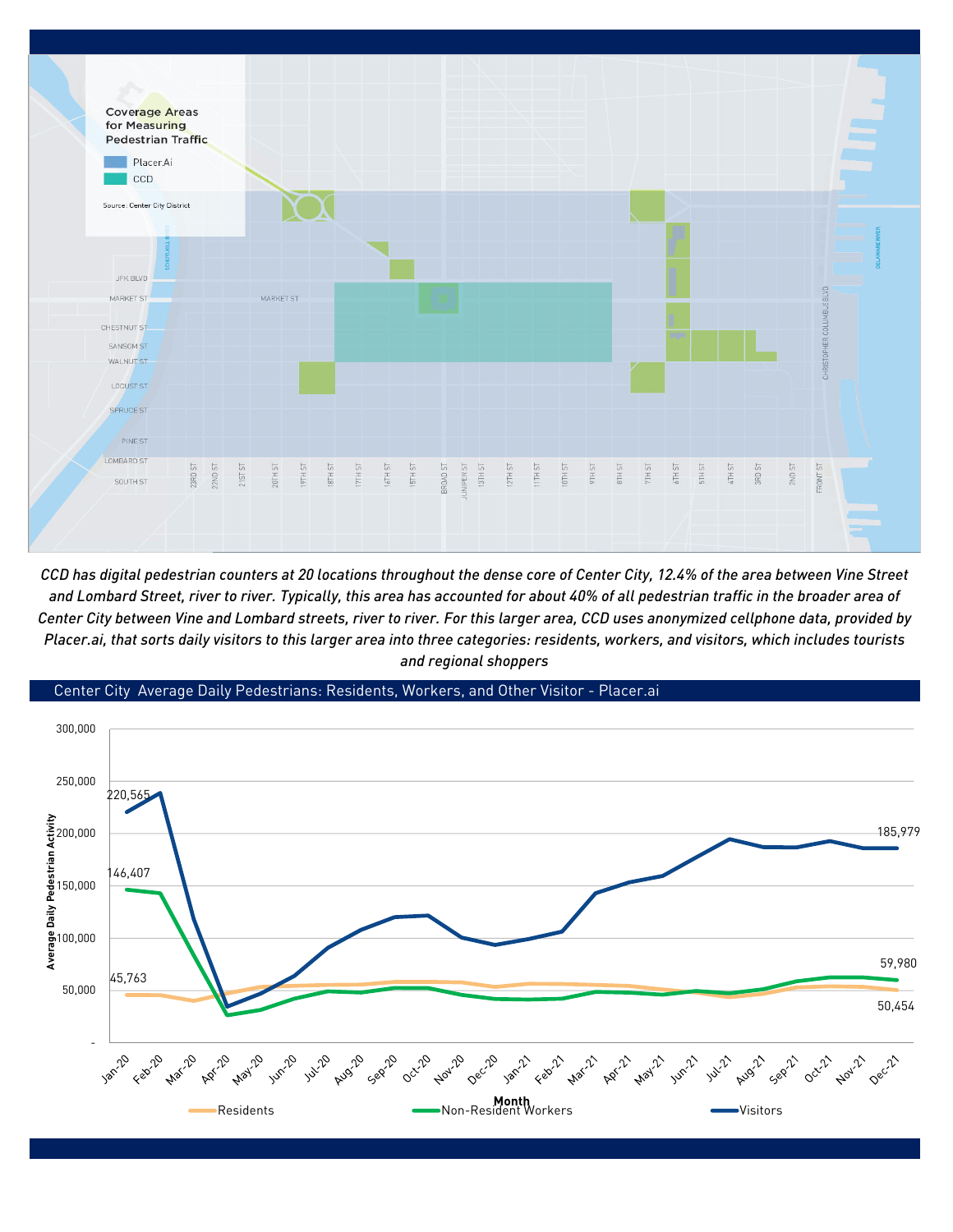

*CCD has digital pedestrian counters at 20 locations throughout the dense core of Center City, 12.4% of the area between Vine Street and Lombard Street, river to river. Typically, this area has accounted for about 40% of all pedestrian traffic in the broader area of Center City between Vine and Lombard streets, river to river. For this larger area, CCD uses anonymized cellphone data, provided by Placer.ai, that sorts daily visitors to this larger area into three categories: residents, workers, and visitors, which includes tourists and regional shoppers*